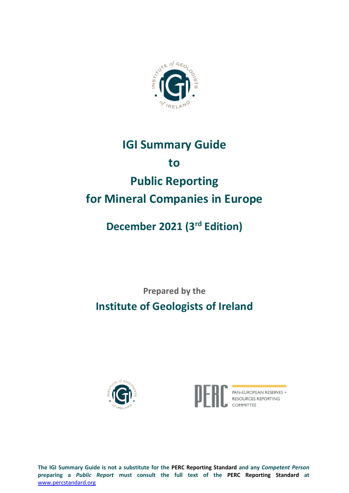

# **IGI Summary Guide to Public Reporting for Mineral Companies in Europe**

## **December 2021 (3 rd Edition)**

## **Prepared by the Institute of Geologists of Ireland**





**Example 25**<br>PAN-EUROPEAN RESERVES +<br>RESOURCES REPORTING COMMITTEE

**1 The IGI Summary Guide is not a substitute for the PERC Reporting Standard and any** *Competent Person* **preparing a** *Public Report* **must consult the full text of the PERC Reporting Standard at**  [www.percstandard.org](http://www.percstandard.eu/)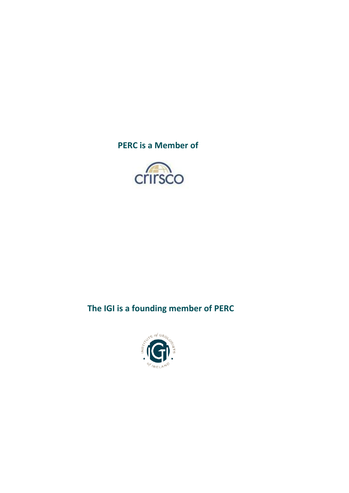**PERC is a Member of**



## **The IGI is a founding member of PERC**

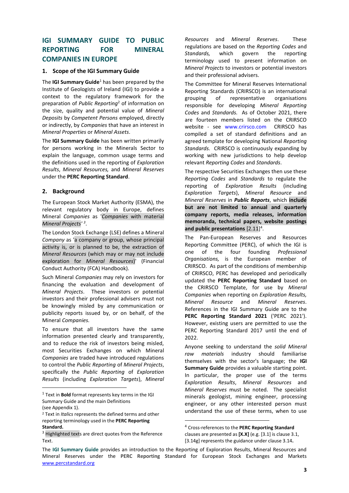## **IGI SUMMARY GUIDE TO PUBLIC REPORTING FOR MINERAL COMPANIES IN EUROPE**

#### **1. Scope of the IGI Summary Guide**

The **IGI Summary Guide**<sup>1</sup> has been prepared by the Institute of Geologists of Ireland (IGI) to provide a context to the regulatory framework for the preparation of *Public Reporting*<sup>2</sup> of information on the size, quality and potential value of *Mineral Deposits* by *Competent Persons* employed, directly or indirectly, by *Companies* that have an interest in *Mineral Properties* or *Mineral Assets*.

The **IGI Summary Guide** has been written primarily for persons working in the Minerals Sector to explain the language, common usage terms and the definitions used in the reporting of *Exploration Results*, *Mineral Resources,* and *Mineral Reserves*  under the **PERC Reporting Standard**.

### **2. Background**

The European Stock Market Authority (ESMA), the relevant regulatory body in Europe, defines Mineral *Companies* as '*Companies* with material *Mineral Projects' <sup>3</sup>* .

The London Stock Exchange (LSE) defines a Mineral *Company* as 'a company or group, whose principal activity is, or is planned to be, the extraction of *Mineral Resources* (which may or may not include exploration for *Mineral Resources*)' (Financial Conduct Authority (FCA) Handbook).

Such Mineral *Companies* may rely on investors for financing the evaluation and development of *Mineral Projects*. These investors or potential investors and their professional advisers must not be knowingly misled by any communication or publicity reports issued by, or on behalf, of the Mineral *Companies.*

To ensure that all investors have the same information presented clearly and transparently, and to reduce the risk of investors being misled, most Securities Exchanges on which Mineral *Companies* are traded have introduced regulations to control the *Public Reporting* of *Mineral Projects*, specifically the *Public Reporting* of *Exploration Results* (including *Exploration Targets*), *Mineral*  *Resources* and *Mineral Reserves*. These regulations are based on the *Reporting Codes* and *Standards,* which govern the reporting terminology used to present information on *Mineral Projects* to investors or potential investors and their professional advisers.

The Committee for Mineral Reserves International Reporting Standards (CRIRSCO) is an international grouping of representative organisations responsible for developing *Mineral Reporting Codes* and *Standards.* As of October 2021, there are fourteen members listed on the CRIRSCO website *-* see [www.crirsco.com](http://www.crirsco.com/) CRIRSCO has compiled a set of standard definitions and an agreed template for developing National *Reporting Standards.* CRIRSCO is continuously expanding by working with new jurisdictions to help develop relevant *Reporting Codes* and *Standards*.

The respective Securities Exchanges then use these *Reporting Codes* and *Standards* to regulate the reporting of *Exploration Results* (including *Exploration Targets*), *Mineral Resource* and *Mineral Reserves* in *Public Reports*, which **include but are not limited to annual and quarterly company reports, media releases, information memoranda, technical papers, website postings**  and public presentations [2.11]<sup>4</sup>.

The Pan-European Reserves and Resources Reporting Committee (PERC), of which the IGI is one of the four founding *Professional Organisations,* is the European member of CRIRSCO. As part of the conditions of membership of CRIRSCO, PERC has developed and periodically updated the **PERC Reporting Standard** based on the CRIRSCO Template, for use by *Mineral Companies* when reporting on *Exploration Results, Mineral Resource* and *Mineral Reserves*. References in the IGI Summary Guide are to the **PERC Reporting Standard 2021** ('PERC 2021'). However, existing users are permitted to use the PERC Reporting Standard 2017 until the end of 2022.

Anyone seeking to understand the *solid Mineral raw materials* industry should familiarise themselves with the sector's language; the **IGI Summary Guide** provides a valuable starting point. In particular, the proper use of the terms *Exploration Results*, *Mineral Resources* and *Mineral Reserves* must be noted. The specialist minerals geologist, mining engineer, processing engineer, or any other interested person must understand the use of these terms, when to use

<sup>1</sup> Text in **Bold** format represents key terms in the IGI Summary Guide and the main Definitions (see Appendix 1).

<sup>2</sup> Text in *Italics* represents the defined terms and other reporting terminology used in the **PERC Reporting Standard.**

<sup>&</sup>lt;sup>3</sup> Highlighted texts are direct quotes from the Reference Text.

<sup>4</sup> Cross-references to the **PERC Reporting Standard** clauses are presented as **[X.X]** (e.g. [3.1] is clause 3.1, [3.14g] represents the guidance under clause 3.14**.**

The **IGI Summary Guide** provides an introduction to the Reporting of Exploration Results, Mineral Resources and Mineral Reserves under the **PERC Reporting Standard** for European Stock Exchanges and Markets [www.percstandard.org](http://www.percstandard.eu/)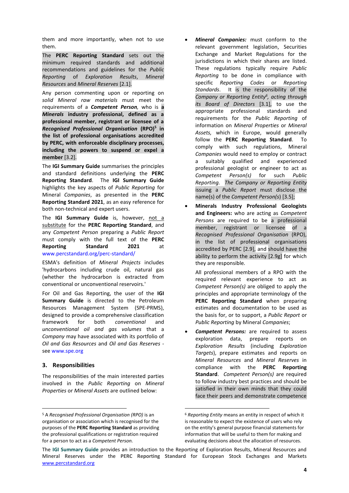them and more importantly, when not to use them.

The **PERC Reporting Standard** sets out the minimum required standards and additional recommendations and guidelines for the *Public Reporting* of *Exploration Results*, *Mineral Resources* and *Mineral Reserves* [2.1].

Any person commenting upon or reporting on *solid Mineral raw materials* must meet the requirements of a *Competent Person,* who is **a**  *Minerals* **industry professional, defined as a professional member, registrant or licensee of a**  *Recognised Professional Organisation* **(RPO)<sup>5</sup> in the list of professional organisations accredited by PERC, with enforceable disciplinary processes, including the powers to suspend or expel a member** [3.2].

The **IGI Summary Guide** summarises the principles and standard definitions underlying the **PERC Reporting Standard**. The **IGI Summary Guide** highlights the key aspects of *Public Reporting* for Mineral *Companies*, as presented in the **PERC Reporting Standard 2021**, as an easy reference for both non-technical and expert users.

The **IGI Summary Guide** is, however, not a substitute for the **PERC Reporting Standard**, and any *Competent Person* preparing a *Public Report* must comply with the full text of the **PERC Reporting Standard 2021** at [www.percstandard.org/perc-standard/](http://www.percstandard.org/perc-standard/)

ESMA's definition of *Mineral Projects* includes 'hydrocarbons including crude oil, natural gas (whether the hydrocarbon is extracted from conventional or unconventional reservoirs.'

For Oil and Gas Reporting, the user of the **IGI Summary Guide** is directed to the Petroleum Resources Management System (SPE-PRMS), designed to provide a comprehensive classification framework for both *conventional* and *unconventional oil and gas volumes* that a *Company* may have associated with its portfolio of *Oil and Gas Resources* and *Oil and Gas Reserves*  see www.spe.org

### **3. Responsibilities**

The responsibilities of the main interested parties involved in the *Public Reporting* on *Mineral Properties* or *Mineral Assets* are outlined below:

- *Mineral Companies:* must conform to the relevant government legislation, Securities Exchange and Market Regulations for the jurisdictions in which their shares are listed. These regulations typically require *Public Reporting* to be done in compliance with specific *Reporting Codes* or *Reporting Standards*. It is the responsibility of the *Company or Reporting Entity<sup>6</sup> , acting through its Board of Directors* [3.1], to use the appropriate professional standards and requirements for the *Public Reporting* of information on *Mineral Properties* or *Mineral Assets,* which in Europe, would generally follow the **PERC Reporting Standard**. To comply with such regulations, Mineral *Companies* would need to employ or contract a suitably qualified and experienced professional geologist or engineer to act as *Competent Person(s)* for such *Public Reporting. The Company or Reporting Entity*  issuing a *Public Report* must disclose the name(s) of the *Competent Person(s*) [3.5];
- **Minerals Industry Professional Geologists and Engineers:** who are acting as *Competent Persons* are required to be a professional member, registrant or licensee of a *Recognised Professional Organisation* (RPO), in the list of professional organisations accredited by PERC [2.9], and should have the ability to perform the activity [2.9g] for which they are responsible*.*

All professional members of a RPO with the required relevant experience to act as *Competent Person(s)* are obliged to apply the principles and appropriate terminology of the **PERC Reporting Standard** when preparing estimates and documentation to be used as the basis for, or to support, a *Public Report* or *Public Reporting* by Mineral *Companies*;

• *Competent Persons:* are required to assess exploration data, prepare reports on *Exploration Results* (including *Exploration Targets*), prepare estimates and reports on *Mineral Resources* and *Mineral Reserves* in compliance with the **PERC Reporting Standard**. *Competent Person(s)* are required to follow industry best practices and should be satisfied in their own minds that they could face their peers and demonstrate competence

<sup>5</sup> A *Recognised Professional Organisation (RPO)* is an organisation or association which is recognised for the purposes of the **PERC Reporting Standard** as providing the professional qualifications or registration required for a person to act as a *Competent Person.*

<sup>6</sup> *Reporting Entity* means an entity in respect of which it is reasonable to expect the existence of users who rely on the entity's general purpose financial statements for information that will be useful to them for making and evaluating decisions about the allocation of resources.

The **IGI Summary Guide** provides an introduction to the Reporting of Exploration Results, Mineral Resources and Mineral Reserves under the **PERC Reporting Standard** for European Stock Exchanges and Markets [www.percstandard.org](http://www.percstandard.eu/)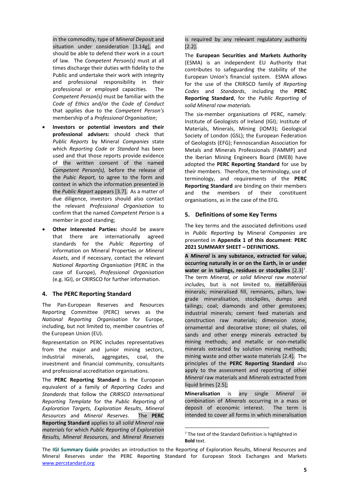in the commodity, type of *Mineral Deposit* and situation under consideration [3.14g], and should be able to defend their work in a court of law. The *Competent Person(s)* must at all times discharge their duties with fidelity to the Public and undertake their work with integrity and professional responsibility in their professional or employed capacities. The *Competent Person(s)* must be familiar with the *Code of Ethics* and/or the *Code of Conduct* that applies due to the *Competent Person's* membership of a *Professional Organisation*;

- **Investors or potential investors and their professional advisers:** should check that *Public Reports* by Mineral *Companies* state which *Reporting Code* or *Standard* has been used and that those reports provide evidence of the written consent of the named *Competent Person(s),* before the release of the *Pubic Report,* to agree to the form and context in which the information presented in the *Public Report* appears [3.7]. As a matter of due diligence, investors should also contact the relevant *Professional Organisation* to confirm that the named *Competent Person* is a member in good standing;
- **Other Interested Parties:** should be aware that there are internationally agreed standards for the *Public Reporting* of information on Mineral Properties *or Mineral Assets*, and if necessary, contact the relevant *National Reporting Organisation* (PERC in the case of Europe), *Professional Organisation* (e.g. IGI), or CRIRSCO for further information.

#### **4. The PERC Reporting Standard**

The Pan-European Reserves and Resources Reporting Committee (PERC) serves as the *National Reporting Organisation* for Europe, including, but not limited to, member countries of the European Union (EU).

Representation on PERC includes representatives from the major and junior mining sectors, industrial minerals, aggregates, coal, the investment and financial community, consultants and professional accreditation organisations.

The **PERC Reporting Standard** is the European equivalent of a family of *Reporting Codes* and *Standards* that follow the *CRIRSCO International Reporting Template* for the *Public Reporting* of *Exploration Targets, Exploration Results*, *Mineral Resources* and *Mineral Reserves*. The **PERC Reporting Standard** applies to all *solid Mineral raw materials* for which *Public Reporting* of *Exploration Results, Mineral Resources,* and *Mineral Reserves*  is required by any relevant regulatory authority [2.2].

The **European Securities and Markets Authority** (ESMA) is an independent EU Authority that contributes to safeguarding the stability of the European Union's financial system. ESMA allows for the use of the CRIRSCO family of *Reporting Codes* and *Standards*, including the **PERC Reporting Standard**, for the *Public Reporting* of *solid Mineral raw materials.*

The six-member organisations of PERC, namely: Institute of Geologists of Ireland (IGI); Institute of Materials, Minerals, Mining (IOM3); Geological Society of London (GSL); the European Federation of Geologists (EFG); Fennoscandian Association for Metals and Minerals Professionals (FAMMP) and the Iberian Mining Engineers Board (IMEB) have adopted the **PERC Reporting Standard** for use by their members. Therefore, the terminology, use of terminology, and requirements of the **PERC Reporting Standard** are binding on their members and the members of their constituent organisations, as in the case of the EFG*.*

#### **5. Definitions of some Key Terms**

The key terms and the associated definitions used in *Public Reporting* by Mineral *Companies* are presented in **Appendix 1 of this document**: **PERC 2021 SUMMARY SHEET – DEFINITIONS.**

**A** *Mineral* **is any substance, extracted for value, occurring naturally in or on the Earth, in or under**  water or in tailings, residues or stockpiles [2.3]<sup>7</sup>. The term *Mineral, or solid Mineral raw material includes,* but is not limited to, metalliferous minerals; mineralised fill, remnants, pillars, lowgrade mineralisation, stockpiles, dumps and tailings; coal; diamonds and other gemstones; industrial minerals; cement feed materials and construction raw materials; dimension stone, ornamental and decorative stone; oil shales, oil sands and other energy minerals extracted by mining methods; and metallic or non-metallic minerals extracted by solution mining methods; mining waste and other waste materials [2.4]. The principles of the **PERC Reporting Standard** also apply to the assessment and reporting of other *Mineral* raw materials and *Minerals* extracted from liquid brines [2.5];

**Mineralisation** is any single *Mineral* or combination of *Minerals* occurring in a mass or deposit of economic interest. The term is intended to cover all forms in which mineralisation

 $7$  The text of the Standard Definition is highlighted in **Bold** text.

The **IGI Summary Guide** provides an introduction to the Reporting of Exploration Results, Mineral Resources and Mineral Reserves under the **PERC Reporting Standard** for European Stock Exchanges and Markets [www.percstandard.org](http://www.percstandard.eu/)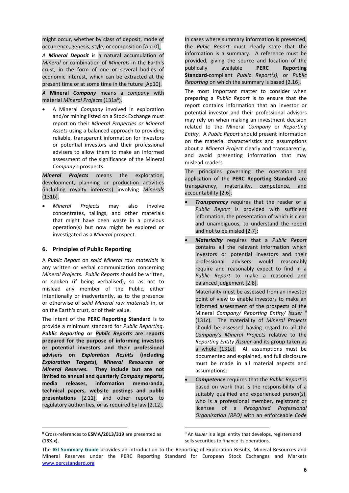might occur, whether by class of deposit, mode of occurrence, genesis, style, or composition [Ap10];

*A Mineral Deposit* is a natural accumulation of *Mineral* or combination of *Minerals* in the Earth's crust, in the form of one or several bodies of economic interest, which can be extracted at the present time or at some time in the future [Ap10].

*A* **Mineral** *Company* means a *company* with material Mineral Projects (131a<sup>8</sup>).

• A Mineral *Company* involved in exploration and/or mining listed on a Stock Exchange must report on their *Mineral Properties or Mineral Assets* using a balanced approach to providing reliable, transparent information for investors or potential investors and their professional advisers to allow them to make an informed assessment of the significance of the Mineral *Company's* prospects.

*Mineral Projects* means the exploration, development, planning or production activities (including royalty interests) involving *Minerals* (131b).

• *Mineral Projects* may also involve concentrates, tailings, and other materials that might have been waste in a previous operation(s) but now might be explored or investigated as a *Mineral* prospect.

### **6. Principles of Public Reporting**

A *Public Report* on *solid Mineral raw materials* is any written or verbal communication concerning *Mineral Projects. Public Reports* should be written, or spoken (if being verbalised), so as not to mislead any member of the Public, either intentionally or inadvertently, as to the presence or otherwise of *solid Mineral raw materials* in, or on the Earth's crust, or of their value.

The intent of the **PERC Reporting Standard** is to provide a minimum standard for *Public Reporting. Public Reporting* **or** *Public Reports* **are reports prepared for the purpose of informing investors or potential investors and their professional advisers on** *Exploration Results* **(including** *Exploration Targets***),** *Mineral Resources* **or** *Mineral Reserves.* **They include but are not limited to annual and quarterly** *Company* **reports, media releases, information memoranda, technical papers, website postings and public presentations** [2.11], and other reports to regulatory authorities, or as required by law [2.12]*.*

In cases where summary information is presented, the *Pubic Report* must clearly state that the information is a summary. A reference must be provided, giving the source and location of the publically available **PERC Reporting Standard**-compliant *Public Report(s),* or *Public Reporting* on which the summary is based [2.16]*.*

The most important matter to consider when preparing a *Public Report* is to ensure that the report contains information that an investor or potential investor and their professional advisors may rely on when making an investment decision related to the Mineral *Company* or *Reporting Entity.* A *Public Report* should present information on the material characteristics and assumptions about a *Mineral Project* clearly and transparently, and avoid presenting information that may mislead readers.

The principles governing the operation and application of the **PERC Reporting Standard** are transparency, materiality, competence, and accountability [2.6].

- **Transparency** requires that the reader of a *Public Report* is provided with sufficient information, the presentation of which is clear and unambiguous, to understand the report and not to be misled [2.7];
- *Materiality* requires that a *Public Report*  contains all the relevant information which investors or potential investors and their professional advisers would reasonably require and reasonably expect to find in a *Public Report* to make a reasoned and balanced judgement [2.8].

Materiality must be assessed from an investor point of view to enable investors to make an informed assessment of the prospects of the Mineral *Company/ Reporting Entity/ Issuer <sup>9</sup>* (131c). The materiality of *Mineral Projects* should be assessed having regard to all the *Company's Mineral Projects* relative to the *Reporting Entity /Issuer* and its group taken as a whole (131c). All assumptions must be documented and explained, and full disclosure must be made in all material aspects and assumptions;

• *Competence* requires that the *Public Report* is based on work that is the responsibility of a suitably qualified and experienced person(s), who is a professional member, registrant or licensee of a *Recognised Professional Organisation (RPO)* with an enforceable *Code* 

<sup>8</sup> Cross-references to **ESMA/2013/319** are presented as **(13X.x).**

<sup>9</sup> An *Issuer* is a legal entity that develops, registers and sells securities to finance its operations.

The **IGI Summary Guide** provides an introduction to the Reporting of Exploration Results, Mineral Resources and Mineral Reserves under the **PERC Reporting Standard** for European Stock Exchanges and Markets [www.percstandard.org](http://www.percstandard.eu/)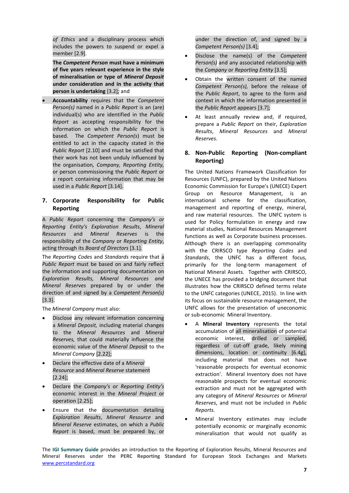*of Ethics* and a disciplinary process which includes the powers to suspend or expel a member [2.9].

**The** *Competent Person* **must have a minimum of five years relevant experience in the style of mineralisation or type of** *Mineral Deposit*  **under consideration and in the activity that person is undertaking** [3.2]*;* and

• **Accountability** requires that the *Competent Person(s)* named in a *Public Report* is an (are) individual(s) who are identified in the *Public Report* as accepting responsibility for the information on which the *Public Report* is based. The *Competent Person(s*) must be entitled to act in the capacity stated in the *Public Report* [2.10] and must be satisfied that their work has not been unduly influenced by the organisation*, Company, Reporting Entity,* or person commissioning the *Public Report* or a report containing information that may be used in a *Public Report* [3.14].

## **7. Corporate Responsibility for Public Reporting**

A *Public Report* concerning the *Company's or Reporting Entity's Exploration Results*, *Mineral Resources* and *Mineral Reserves* is the responsibility of the *Company* or *Reporting Entity*, acting through its *Board of Directors* [3.1]*.*

The *Reporting Codes* and *Standards* require that a *Public Report* must be based on and fairly reflect the information and supporting documentation on *Exploration Results, Mineral Resources and Mineral Reserves* prepared by or under the direction of and signed by a *Competent Person(s)*  [3.3].

The *Mineral Company* must also:

- Disclose any relevant information concerning a *Mineral Deposit,* including material changes to the *Mineral Resources* and *Mineral Reserves,* that could materially influence the economic value of the *Mineral Deposit* to the *Mineral Company* [2.22];
- Declare the effective date of a *Mineral Resource* and *Mineral Reserve* statement [2.24];
- Declare the *Company's* or *Reporting Entity's*  economic interest in the *Mineral Project* or operation [2.25];
- Ensure that the documentation detailing *Exploration Results*, *Mineral Resource* and *Mineral Reserve* estimates, on which a *Public Report* is based, must be prepared by, or

under the direction of, and signed by a *Competent Person(s)* [3.4];

- Disclose the name(s) of the *Competent Person(s)* and any associated relationship with the *Company* or *Reporting Entity* [3.5];
- Obtain the written consent of the named *Competent Person(s),* before the release of the *Public Report*, to agree to the form and context in which the information presented in the *Public Report* appears [3.7];
- At least annually review and, if required, prepare a *Public Report* on their, *Exploration Results*, *Mineral Resources* and *Mineral Reserves*.

## **8. Non-Public Reporting (Non-compliant Reporting)**

The United Nations Framework Classification for Resources (UNFC), prepared by the United Nations Economic Commission for Europe's (UNECE) Expert Group on Resource Management, is an international scheme for the classification, management and reporting of energy, mineral, and raw material resources. The UNFC system is used for Policy formulation in energy and raw material studies, National Resources Management functions as well as Corporate business processes. Although there is an overlapping commonality with the CRIRSCO type *Reporting Codes* and *Standards*, the UNFC has a different focus, primarily for the long-term management of National Mineral Assets. Together with CRIRSCO, the UNECE has provided a bridging document that illustrates how the CRIRSCO defined terms relate to the UNFC categories (UNECE, 2015). In line with its focus on sustainable resource management, the UNFC allows for the presentation of uneconomic or sub-economic Mineral Inventory.

- A **Mineral Inventory** represents the total accumulation of all mineralisation of potential economic interest, drilled or sampled, regardless of cut-off grade, likely mining dimensions, location or continuity [6.4g], including material that does not have 'reasonable prospects for eventual economic extraction'. Mineral Inventory does not have reasonable prospects for eventual economic extraction and must not be aggregated with any category of *Mineral Resources* or *Mineral Reserves*, and must not be included in *Public Reports.*
- Mineral Inventory estimates may include potentially economic or marginally economic mineralisation that would not qualify as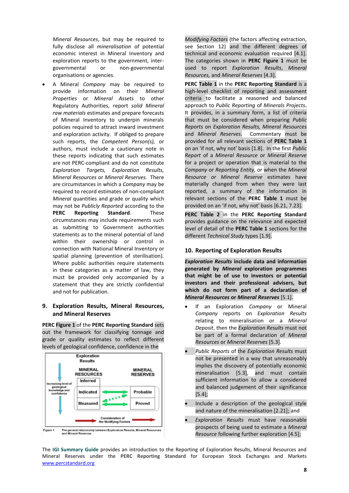*Mineral Resources*, but may be required to fully disclose all *mineralisation* of potential economic interest in Mineral Inventory and exploration reports to the government, intergovernmental or non-governmental organisations or agencies.

• A Mineral *Company* may be required to provide information on their *Mineral Properties* or *Mineral Assets* to other Regulatory Authorities, report *solid Mineral raw materials* estimates and prepare forecasts of Mineral Inventory to underpin minerals policies required to attract inward investment and exploration activity. If obliged to prepare such reports, the *Competent Person(s),* or authors, must include a cautionary note in these reports indicating that such estimates are not PERC-compliant and do not constitute *Exploration Targets, Exploration Results, Mineral Resources* or *Mineral Reserves*. There are circumstances in which a *Company* may be required to record estimates of non-compliant *Mineral* quantities and grade or quality which may not be *Publicly Reported* according to the **PERC Reporting Standard**. These circumstances may include requirements such as submitting to Government authorities statements as to the mineral potential of land within their ownership or control in connection with National Mineral Inventory or spatial planning (prevention of sterilisation). Where public authorities require statements in these categories as a matter of law, they must be provided only accompanied by a statement that they are strictly confidential and not for publication.

### **9. Exploration Results, Mineral Resources, and Mineral Reserves**

**PERC Figure 1** of the **PERC Reporting Standard** sets out the framework for classifying tonnage and grade or quality estimates to reflect different levels of geological confidence, confidence in the



*Modifying Factors* (the factors affecting extraction, see Section 12) and the different degrees of technical and economic evaluation required [4.1]. The categories shown in **PERC Figure 1** must be used to report *Exploration Results*, *Mineral Resources,* and *Mineral Reserves* [4.3]*.*

**PERC Table 1** in the **PERC Reporting Standard** is a high-level checklist of reporting and assessment criteria to facilitate a reasoned and balanced approach to *Public Reporting* of *Minerals Projects***.**  It provides, in a summary form, a list of criteria that must be considered when preparing *Public Reports* on *Exploration Results, Mineral Resources*  and *Mineral Reserves*. Commentary must be provided for all relevant sections of **PERC Table 1** on an 'if not, why not' basis [1.8]. In the first *Public Report* of a *Mineral Resource* or *Mineral Reserve* for a project or operation that is material to the *Company* or *Reporting Entity*, or when the *Mineral Resource or Mineral Reserve* estimates have materially changed from when they were last reported, a summary of the information in relevant sections of the **PERC Table 1** must be provided on an 'if not, why not' basis [6.21, 7.23].

**PERC Table 2** in the **PERC Reporting Standard** provides guidance on the relevance and expected level of detail of the **PERC Table 1** sections for the different *Technical Study* types [1.9].

### **10. Reporting of Exploration Results**

*Exploration Results* **include data and information generated by** *Mineral* **exploration programmes that might be of use to investors or potential investors and their professional advisers, but which do not form part of a declaration of** *Mineral Resources* **or** *Mineral Reserves* [5.1].

- If an Exploration *Company* or Mineral *Company* reports on *Exploration Results*  relating to mineralisation or a *Mineral Deposit*, then the *Exploration Results* must not be part of a formal declaration of *Mineral Resources* or *Mineral Reserves* [5.3].
- *Public Reports* of the *Exploration Results* must not be presented in a way that unreasonably implies the discovery of potentially economic mineralisation [5.3], and must contain sufficient information to allow a considered and balanced judgement of their significance [5.4];
- Include a description of the geological style and nature of the mineralisation [2.21]; and
- *Exploration Results* must have reasonable prospects of being used to estimate a *Mineral Resource* following further exploration [4.5];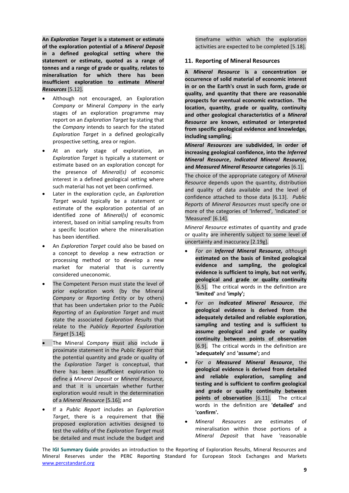**An** *Exploration Target* **is a statement or estimate of the exploration potential of a** *Mineral Deposit*  **in a defined geological setting where the statement or estimate, quoted as a range of tonnes and a range of grade or quality, relates to mineralisation for which there has been insufficient exploration to estimate** *Mineral Resources* [5.12].

- Although not encouraged, an Exploration *Company* or Mineral *Company* in the early stages of an exploration programme may report on an *Exploration Target* by stating that the *Company* intends to search for the stated *Exploration Target* in a defined geologically prospective setting, area or region.
- At an early stage of exploration, an *Exploration Target* is typically a statement or estimate based on an exploration concept for the presence of *Mineral(s)* of economic interest in a defined geological setting where such material has not yet been confirmed.
- Later in the exploration cycle, an *Exploration Target* would typically be a statement or estimate of the exploration potential of an identified zone of *Mineral(s)* of economic interest, based on initial sampling results from a specific location where the mineralisation has been identified.
- An *Exploration Target* could also be based on a concept to develop a new extraction or processing method or to develop a new market for material that is currently considered uneconomic.
- The Competent Person must state the level of prior exploration work (by the Mineral *Company* or *Reporting Entity* or by others) that has been undertaken prior to the *Public Reporting* of an *Exploration Target* and must state the associated *Exploration Results* that relate to the *Publicly Reported Exploration Target* [5.14];
- The Mineral *Company* must also include a proximate statement in the *Public Report* that the potential quantity and grade or quality of the *Exploration Target* is conceptual, that there has been insufficient exploration to define a *Mineral Deposit* or *Mineral Resource,* and that it is uncertain whether further exploration would result in the determination of a *Mineral Resource* [5.16]; and
- If a *Public Report* includes an *Exploration Target*, there is a requirement that the proposed exploration activities designed to test the validity of the *Exploration Target* must be detailed and must include the budget and

timeframe within which the exploration activities are expected to be completed [5.18].

#### **11. Reporting of Mineral Resources**

**A** *Mineral Resource* **is a concentration or occurrence of solid material of economic interest in or on the Earth's crust in such form, grade or quality, and quantity that there are reasonable prospects for eventual economic extraction. The location, quantity, grade or quality, continuity and other geological characteristics of a** *Mineral Resource* **are known, estimated or interpreted from specific geological evidence and knowledge, including sampling.**

*Mineral Resources* **are subdivided, in order of increasing geological confidence, into the** *Inferred Mineral Resource***,** *Indicated Mineral Resource,* **and** *Measured Mineral Resource* **categories** [6.1].

The choice of the appropriate category of *Mineral Resource* depends upon the quantity, distribution and quality of data available and the level of confidence attached to those data [6.13]. *Public Reports* of *Mineral Resources* must specify one or more of the categories of 'Inferred', 'Indicated' or 'Measured' [6.14]*.* 

*Mineral Resource* estimates of quantity and grade or quality are inherently subject to some level of uncertainty and inaccuracy [2.19g].

- *For an Inferred Mineral Resource, although*  **estimated on the basis of limited geological evidence and sampling, the geological evidence is sufficient to imply, but not verify, geological and grade or quality continuity** [6.5]. The critical words in the definition are **'limited'** and **'imply';**
- *For an Indicated Mineral Resource*, *the*  **geological evidence is derived from the adequately detailed and reliable exploration, sampling and testing and is sufficient to assume geological and grade or quality continuity between points of observation** [6.9]. The critical words in the definition are **'adequately'** and **'assume';** and
- *For a Measured Mineral Resource*, the **geological evidence is derived from detailed and reliable exploration, sampling and testing and is sufficient to confirm geological and grade or quality continuity between points of observation** [6.11]. The critical words in the definition are **'detailed'** and **'confirm'.**
- *Mineral Resources* are estimates of mineralisation within those portions of a *Mineral Deposit* that have 'reasonable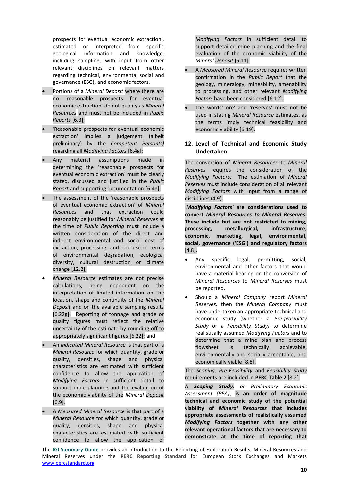prospects for eventual economic extraction', estimated or interpreted from specific geological information and knowledge, including sampling, with input from other relevant disciplines on relevant matters regarding technical, environmental social and governance (ESG), and economic factors.

- Portions of a *Mineral Deposit* where there are no 'reasonable prospects for eventual economic extraction' do not qualify as *Mineral Resources* and must not be included in *Public Reports* [6.3];
- 'Reasonable prospects for eventual economic extraction' implies a judgement (albeit preliminary) by the *Competent Person(s)*  regarding all *Modifying Factors* [6.4g];
- Any material assumptions made in determining the 'reasonable prospects for eventual economic extraction' must be clearly stated, discussed and justified in the *Public Report* and supporting documentation [6.4g];
- The assessment of the 'reasonable prospects' of eventual economic extraction' of *Mineral Resources* and that extraction could reasonably be justified for *Mineral Reserves* at the time of *Public Reporting* must include a written consideration of the direct and indirect environmental and social cost of extraction, processing, and end-use in terms of environmental degradation, ecological diversity, cultural destruction or climate change [12.2];
- *Mineral Resource* estimates are not precise calculations, being dependent on the interpretation of limited information on the location, shape and continuity of the *Mineral Deposit* and on the available sampling results [6.22g]. Reporting of tonnage and grade or quality figures must reflect the relative uncertainty of the estimate by rounding off to appropriately significant figures [6.22]; and
- An *Indicated Mineral Resource* is that part of a *Mineral Resource* for which quantity, grade or quality, densities, shape and physical characteristics are estimated with sufficient confidence to allow the application of *Modifying Factors* in sufficient detail to support mine planning and the evaluation of the economic viability of the *Mineral Deposit*  [6.9].
- A *Measured Mineral Resource* is that part of a *Mineral Resource* for which quantity, grade or quality, densities, shape and physical characteristics are estimated with sufficient confidence to allow the application of

*Modifying Factors* in sufficient detail to support detailed mine planning and the final evaluation of the economic viability of the *Mineral Deposit* [6.11].

- A *Measured Mineral Resource* requires written confirmation in the *Public Report* that the geology, mineralogy, mineability, amenability to processing, and other relevant *Modifying Factors* have been considered [6.12].
- The words' ore' and 'reserves' must not be used in stating *Mineral Resource* estimates, as the terms imply technical feasibility and economic viability [6.19].

### **12. Level of Technical and Economic Study Undertaken**

The conversion of *Mineral Resources* to *Mineral Reserves* requires the consideration of the *Modifying Factors.* The estimation of *Mineral Reserves* must include consideration of all relevant *Modifying Factors* with input from a range of disciplines (4.9).

*'Modifying Factors'* **are considerations used to convert** *Mineral Resources to Mineral Reserves***. These include but are not restricted to mining, processing, metallurgical, infrastructure, economic, marketing, legal, environmental, social, governance ('ESG') and regulatory factors** [4.8].

- Any specific legal, permitting, social, environmental and other factors that would have a material bearing on the conversion of *Mineral Resources* to *Mineral Reserves* must be reported.
- Should a *Mineral Company* report *Mineral Reserves,* then the *Mineral Company* must have undertaken an appropriate technical and economic study (whether a *Pre-feasibility Study* or a *Feasibility Study)* to determine realistically assumed *Modifying Factors* and to determine that a mine plan and process flowsheet is technically achievable, environmentally and socially acceptable, and economically viable [8.8].

The *Scoping, Pre-Feasibility* and *Feasibility Study* requirements are included in **PERC Table 2** [8.2].

**A** *Scoping Study, or Preliminary Economic Assessment (PEA)*, **is an order of magnitude technical and economic study of the potential viability of** *Mineral Resources* **that includes appropriate assessments of realistically assumed** *Modifying Factors* **together with any other relevant operational factors that are necessary to demonstrate at the time of reporting that**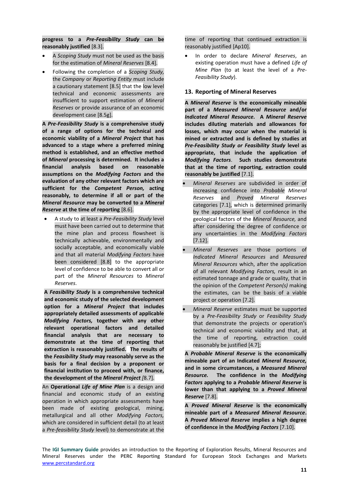**progress to a** *Pre-Feasibility Study* **can be reasonably justified** [8.3].

- A *Scoping Study* must not be used as the basis for the estimation of *Mineral Reserves* [8.4].
- Following the completion of a *Scoping Study,* the *Company* or *Reporting Entity* must include a cautionary statement [8.5] that the low level technical and economic assessments are insufficient to support estimation of *Mineral Reserves* or provide assurance of an economic development case [8.5g].

**A** *Pre-Feasibility Study* **is a comprehensive study of a range of options for the technical and economic viability of a** *Mineral Project* **that has advanced to a stage where a preferred mining method is established, and an effective method of** *Mineral* **processing is determined. It includes a financial analysis based on reasonable assumptions on the** *Modifying Factors* **and the evaluation of any other relevant factors which are sufficient for the** *Competent Person,* **acting reasonably, to determine if all or part of the** *Mineral Resource* **may be converted to a** *Mineral Reserve* **at the time of reporting** [8.6].

• A study to at least a *Pre-Feasibility Study* level must have been carried out to determine that the mine plan and process flowsheet is technically achievable, environmentally and socially acceptable, and economically viable and that all material *Modifying Factors* have been considered [8.8] to the appropriate level of confidence to be able to convert all or part of the *Mineral Resources* to *Mineral Reserves*.

**A** *Feasibility Study* **is a comprehensive technical and economic study of the selected development option for a** *Mineral Project* **that includes appropriately detailed assessments of applicable** *Modifying Factors,* **together with any other relevant operational factors and detailed financial analysis that are necessary to demonstrate at the time of reporting that extraction is reasonably justified. The results of the** *Feasibility Study* **may reasonably serve as the basis for a final decision by a proponent or financial institution to proceed with, or finance, the development of the** *Mineral Project [*8.7].

An **Operational** *Life of Mine Plan* is a design and financial and economic study of an existing operation in which appropriate assessments have been made of existing geological, mining, metallurgical and all other *Modifying Factors,* which are considered in sufficient detail (to at least a *Pre-feasibility Study* level) to demonstrate at the

time of reporting that continued extraction is reasonably justified [Ap10].

• In order to declare *Mineral Reserves*, an existing operation must have a defined *Life of Mine Plan* (to at least the level of a *Pre-Feasibility Study*).

### **13. Reporting of Mineral Reserves**

**A** *Mineral Reserve* **is the economically mineable part of a** *Measured Mineral Resource* **and/or** *Indicated Mineral Resource.* **A** *Mineral Reserve* **includes diluting materials and allowances for losses, which may occur when the material is mined or extracted and is defined by studies at** *Pre-Feasibility Study or Feasibility Study* **level as appropriate, that include the application of**  *Modifying Factors*.**Such studies demonstrate that at the time of reporting, extraction could reasonably be justified** [7.1].

- *Mineral Reserves* are subdivided in order of increasing confidence into *Probable Mineral Reserves* and *Proved Mineral Reserves* categories [7.1], which is determined primarily by the appropriate level of confidence in the geological factors of the *Mineral Resource,* and after considering the degree of confidence or any uncertainties in the *Modifying Factors* [7.12].
- *Mineral Reserves* are those portions of *Indicated Mineral Resources* and *Measured Mineral Resources* which, after the application of all relevant *Modifying Factors,* result in an estimated tonnage and grade or quality, that in the opinion of the *Competent Person(s)* making the estimates, can be the basis of a viable project or operation [7.2].
- *Mineral Reserve* estimates must be supported by a *Pre-Feasibility Study* or *Feasibility Study*  that demonstrate the projects or operation's technical and economic viability and that, at the time of reporting, extraction could reasonably be justified [4.7];

**A** *Probable Mineral Reserve* **is the economically mineable part of an Indicated** *Mineral Resource,*  **and in some circumstances, a** *Measured Mineral Resource.* **The confidence in the** *Modifying Factors* **applying to a** *Probable Mineral Reserve* **is lower than that applying to a** *Proved Mineral Reserve* [7.8].

**A** *Proved Mineral Reserve* **is the economically mineable part of a** *Measured Mineral Resource***. A** *Proved Mineral Reserve* **implies a high degree of confidence in the** *Modifying Factors* [7.10].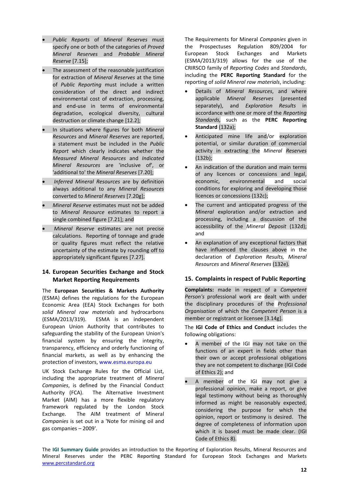- *Public Reports* of *Mineral Reserves* must specify one or both of the categories of *Proved Mineral Reserves* and *Probable Mineral Reserve* [7.15];
- The assessment of the reasonable justification for extraction of *Mineral Reserves* at the time of *Public Reporting* must include a written consideration of the direct and indirect environmental cost of extraction, processing, and end-use in terms of environmental degradation, ecological diversity, cultural destruction or climate change [12.2];
- In situations where figures for both *Mineral Resources* and *Mineral Reserves* are reported, a statement must be included in the *Public Report* which clearly indicates whether the *Measured Mineral Resources* and *Indicated Mineral Resources* are 'inclusive of', or 'additional to' the *Mineral Reserves* [7.20];
- *Inferred Mineral Resources* are by definition always additional to any *Mineral Resources* converted to *Mineral Reserves* [7.20g];
- *Mineral Reserve* estimates must not be added to *Mineral Resource* estimates to report a single combined figure [7.21]; and
- *Mineral Reserve* estimates are not precise calculations. Reporting of tonnage and grade or quality figures must reflect the relative uncertainty of the estimate by rounding off to appropriately significant figures [7.27].

### **14. European Securities Exchange and Stock Market Reporting Requirements**

The **European Securities & Markets Authority** (ESMA) defines the regulations for the European Economic Area (EEA) Stock Exchanges for both *solid Mineral raw materials* and hydrocarbons (ESMA/2013/319). ESMA is an independent European Union Authority that contributes to safeguarding the stability of the European Union's financial system by ensuring the integrity, transparency, efficiency and orderly functioning of financial markets, as well as by enhancing the protection of investors, [www.esma.europa.eu](http://www.esma.europa.eu/)

UK Stock Exchange Rules for the Official List, including the appropriate treatment of *Mineral Companies*, is defined by the Financial Conduct Authority (FCA). The Alternative Investment Market (AIM) has a more flexible regulatory framework regulated by the London Stock Exchange. The AIM treatment of Mineral *Companies* is set out in a 'Note for mining oil and gas companies – 2009'.

The Requirements for Mineral *Companies* given in the Prospectuses Regulation 809/2004 for European Stock Exchanges and Markets (ESMA/2013/319) allows for the use of the CRIRSCO family of *Reporting Codes* and *Standards*, including the **PERC Reporting Standard** for the reporting of *solid Mineral raw materials*, including:

- Details of *Mineral Resources*, and where applicable *Mineral Reserves* (presented separately), and *Exploration Results* in accordance with one or more of the *Reporting Standards,* such as the **PERC Reporting Standard** (132a);
- Anticipated mine life and/or exploration potential, or similar duration of commercial activity in extracting the *Mineral Reserves* (132b);
- An indication of the duration and main terms of any licences or concessions and legal, economic, environmental and social conditions for exploring and developing those licences or concessions (132c);
- The current and anticipated progress of the *Mineral* exploration and/or extraction and processing, including a discussion of the accessibility of the *Mineral Deposit* (132d); and
- An explanation of any exceptional factors that have influenced the clauses above in the declaration of *Exploration Results, Mineral Resources* and *Mineral Reserves* (132e)*.*

### **15. Complaints in respect of Public Reporting**

**Complaints:** made in respect of a *Competent Person's* professional work are dealt with under the disciplinary procedures of the *Professional Organisation* of which the *Competent Person* is a member or registrant or licensee [3.14g].

The **IGI Code of Ethics and Conduct** includes the following obligations:

- A member of the IGI may not take on the functions of an expert in fields other than their own or accept professional obligations they are not competent to discharge (IGI Code of Ethics 2); and
- A member of the IGI may not give a professional opinion, make a report, or give legal testimony without being as thoroughly informed as might be reasonably expected, considering the purpose for which the opinion, report or testimony is desired. The degree of completeness of information upon which it is based must be made clear. (IGI Code of Ethics 8).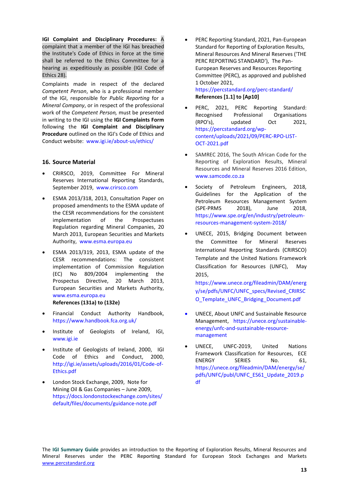**IGI Complaint and Disciplinary Procedures:** A complaint that a member of the IGI has breached the Institute's Code of Ethics in force at the time shall be referred to the Ethics Committee for a hearing as expeditiously as possible (IGI Code of Ethics 28).

Complaints made in respect of the declared *Competent Person*, who is a professional member of the IGI, responsible for *Public Reporting* for a *Mineral Company*, or in respect of the professional work of the *Competent Person,* must be presented in writing to the IGI using the **IGI Complaints Form** following the **IGI Complaint and Disciplinary Procedure** outlined on the IGI's Code of Ethics and Conduct website: [www.igi.ie/](http://www.igi.ie/)about-us/ethics/

#### **16. Source Material**

- CRIRSCO, 2019, Committee For Mineral Reserves International Reporting Standards, September 2019, [www.crirsco.com](http://www.crirsco.com/)
- ESMA 2013/318, 2013, Consultation Paper on proposed amendments to the ESMA update of the CESR recommendations for the consistent implementation of the Prospectuses Regulation regarding Mineral Companies, 20 March 2013, European Securities and Markets Authority, [www.esma.europa.eu](http://www.esma.europa.eu/)
- ESMA 2013/319, 2013, ESMA update of the CESR recommendations: The consistent implementation of Commission Regulation (EC) No 809/2004 implementing the Prospectus Directive, 20 March 2013, European Securities and Markets Authority, [www.esma.europa.eu](http://www.esma.europa.eu/)  **References (131a) to (132e)**
- Financial Conduct Authority Handbook, <https://www.handbook.fca.org.uk/>
- Institute of Geologists of Ireland, IGI, [www.igi.ie](http://www.igi.ie/)
- Institute of Geologists of Ireland, 2000, IGI Code of Ethics and Conduct, 2000, [http://igi.ie/assets/uploads/2016/01/Code-of-](http://igi.ie/assets/uploads/2016/01/Code-of-Ethics.pdf)[Ethics.pdf](http://igi.ie/assets/uploads/2016/01/Code-of-Ethics.pdf)
- London Stock Exchange, 2009, Note for Mining Oil & Gas Companies – June 2009, [https://docs.londonstockexchange.com/sites/](https://docs.londonstockexchange.com/sites/default/files/documents/guidance-note.pdf) [default/files/documents/guidance-note.pdf](https://docs.londonstockexchange.com/sites/default/files/documents/guidance-note.pdf)

• PERC Reporting Standard, 2021, Pan-European Standard for Reporting of Exploration Results, Mineral Resources And Mineral Reserves ('THE PERC REPORTING STANDARD'), The Pan-European Reserves and Resources Reporting Committee (PERC), as approved and published 1 October 2021, <https://percstandard.org/perc-standard/>

**References [1.1] to [Ap10]** 

- PERC, 2021, PERC Reporting Standard: Recognised Professional Organisations (RPO's), updated Oct 2021, [https://percstandard.org/wp](https://percstandard.org/wp-content/uploads/2021/09/PERC-RPO-LIST-OCT-2021.pdf)[content/uploads/2021/09/PERC-RPO-LIST-](https://percstandard.org/wp-content/uploads/2021/09/PERC-RPO-LIST-OCT-2021.pdf)[OCT-2021.pdf](https://percstandard.org/wp-content/uploads/2021/09/PERC-RPO-LIST-OCT-2021.pdf)
- SAMREC 2016. The South African Code for the Reporting of Exploration Results, Mineral Resources and Mineral Reserves 2016 Edition, [www.samcode.co.za](http://www.samcode.co.za/)
- Society of Petroleum Engineers, 2018, Guidelines for the Application of the Petroleum Resources Management System (SPE-PRMS 2018), June 2018, https://www.spe.org/en/industry/petroleumresources-management-system-2018/
- UNECE, 2015, Bridging Document between the Committee for Mineral Reserves International Reporting Standards (CRIRSCO) Template and the United Nations Framework Classification for Resources (UNFC), May 2015,

[https://www.unece.org/fileadmin/DAM/energ](https://www.unece.org/fileadmin/DAM/energy/se/pdfs/UNFC/UNFC_specs/Revised_CRIRSCO_Template_UNFC_Bridging_Document.pdf) [y/se/pdfs/UNFC/UNFC\\_specs/Revised\\_CRIRSC](https://www.unece.org/fileadmin/DAM/energy/se/pdfs/UNFC/UNFC_specs/Revised_CRIRSCO_Template_UNFC_Bridging_Document.pdf) [O\\_Template\\_UNFC\\_Bridging\\_Document.pdf](https://www.unece.org/fileadmin/DAM/energy/se/pdfs/UNFC/UNFC_specs/Revised_CRIRSCO_Template_UNFC_Bridging_Document.pdf) 

- UNECE, About UNFC and Sustainable Resource Management, https://unece.org/sustainableenergy/unfc-and-sustainable-resourcemanagement
- UNECE, UNFC-2019, United Nations Framework Classification for Resources, ECE ENERGY SERIES No. 61, [https://unece.org/fileadmin/DAM/energy/se/](https://unece.org/fileadmin/DAM/energy/se/pdfs/UNFC/publ/UNFC_ES61_Update_2019.pdf) [pdfs/UNFC/publ/UNFC\\_ES61\\_Update\\_2019.p](https://unece.org/fileadmin/DAM/energy/se/pdfs/UNFC/publ/UNFC_ES61_Update_2019.pdf) [df](https://unece.org/fileadmin/DAM/energy/se/pdfs/UNFC/publ/UNFC_ES61_Update_2019.pdf)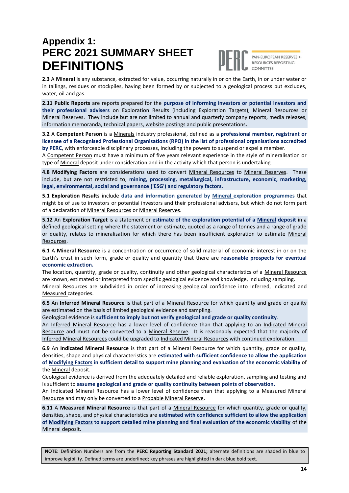## **Appendix 1: PERC 2021 SUMMARY SHEET DEFINITIONS**

PAN-EUROPEAN RESERVES + **RESOURCES REPORTING** COMMITTEE

**2.3** A **Mineral** is any substance, extracted for value, occurring naturally in or on the Earth, in or under water or in tailings, residues or stockpiles, having been formed by or subjected to a geological process but excludes, water, oil and gas.

**2.11 Public Reports** are reports prepared for the **purpose of informing investors or potential investors and their professional advisers** on Exploration Results (including Exploration Targets), Mineral Resources or Mineral Reserves. They include but are not limited to annual and quarterly company reports, media releases, information memoranda, technical papers, website postings and public presentations**.**

**3.2** A **Competent Person** is a Minerals industry professional, defined as a **professional member, registrant or licensee of a Recognised Professional Organisations (RPO) in the list of professional organisations accredited by PERC**, with enforceable disciplinary processes, including the powers to suspend or expel a member.

A Competent Person must have a minimum of five years relevant experience in the style of mineralisation or type of Mineral deposit under consideration and in the activity which that person is undertaking.

**4.8 Modifying Factors** are considerations used to convert Mineral Resources to Mineral Reserves. These include, but are not restricted to, **mining, processing, metallurgical, infrastructure, economic, marketing, legal, environmental, social and governance ('ESG') and regulatory factors.**

**5.1 Exploration Results** include **data and information generated by Mineral exploration programmes** that might be of use to investors or potential investors and their professional advisers, but which do not form part of a declaration of Mineral Resources or Mineral Reserves.

**5.12** An **Exploration Target** is a statement or **estimate of the exploration potential of a Mineral deposit** in a defined geological setting where the statement or estimate, quoted as a range of tonnes and a range of grade or quality, relates to mineralisation for which there has been insufficient exploration to estimate Mineral Resources.

**6.1** A **Mineral Resource** is a concentration or occurrence of solid material of economic interest in or on the Earth's crust in such form, grade or quality and quantity that there are **reasonable prospects for eventual economic extraction.** 

The location, quantity, grade or quality, continuity and other geological characteristics of a Mineral Resource are known, estimated or interpreted from specific geological evidence and knowledge, including sampling.

Mineral Resources are subdivided in order of increasing geological confidence into Inferred, Indicated and Measured categories.

**6.5** An **Inferred Mineral Resource** is that part of a Mineral Resource for which quantity and grade or quality are estimated on the basis of limited geological evidence and sampling.

Geological evidence is **sufficient to imply but not verify geological and grade or quality continuity**.

An Inferred Mineral Resource has a lower level of confidence than that applying to an Indicated Mineral Resource and must not be converted to a Mineral Reserve. It is reasonably expected that the majority of Inferred Mineral Resources could be upgraded to Indicated Mineral Resources with continued exploration.

**6.9** An **Indicated Mineral Resource** is that part of a Mineral Resource for which quantity, grade or quality, densities, shape and physical characteristics are **estimated with sufficient confidence to allow the application of Modifying Factors in sufficient detail to support mine planning and evaluation of the economic viability** of the Mineral deposit.

Geological evidence is derived from the adequately detailed and reliable exploration, sampling and testing and is sufficient to **assume geological and grade or quality continuity between points of observation.**

An Indicated Mineral Resource has a lower level of confidence than that applying to a Measured Mineral Resource and may only be converted to a Probable Mineral Reserve.

**6.11** A **Measured Mineral Resource** is that part of a Mineral Resource for which quantity, grade or quality, densities, shape, and physical characteristics are **estimated with confidence sufficient to allow the application of Modifying Factors to support detailed mine planning and final evaluation of the economic viability** of the Mineral deposit.

NOTE: Definition Numbers are from the PERC Reporting Standard 2021; alternate definitions are shaded in blue to Mineral Reserves under the **PERC Reporting Standard** for European Stock Exchanges and Markets improve legibility. Defined terms are underlined; key phrases are highlighted in dark blue bold text.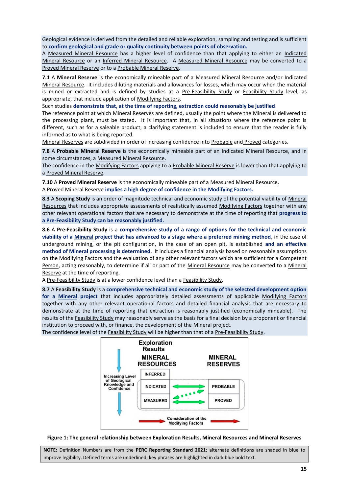Geological evidence is derived from the detailed and reliable exploration, sampling and testing and is sufficient to **confirm geological and grade or quality continuity between points of observation.** 

A Measured Mineral Resource has a higher level of confidence than that applying to either an Indicated Mineral Resource or an Inferred Mineral Resource. A Measured Mineral Resource may be converted to a Proved Mineral Reserve or to a Probable Mineral Reserve.

**7.1** A **Mineral Reserve** is the economically mineable part of a Measured Mineral Resource and/or Indicated Mineral Resource. It includes diluting materials and allowances for losses, which may occur when the material is mined or extracted and is defined by studies at a Pre-Feasibility Study or Feasibility Study level, as appropriate, that include application of Modifying Factors.

Such studies **demonstrate that, at the time of reporting, extraction could reasonably be justified**.

The reference point at which Mineral Reserves are defined, usually the point where the Mineral is delivered to the processing plant, must be stated. It is important that, in all situations where the reference point is different, such as for a saleable product, a clarifying statement is included to ensure that the reader is fully informed as to what is being reported.

Mineral Reserves are subdivided in order of increasing confidence into Probable and Proved categories.

**7.8** A **Probable Mineral Reserve** is the economically mineable part of an Indicated Mineral Resource, and in some circumstances, a Measured Mineral Resource.

The confidence in the Modifying Factors applying to a Probable Mineral Reserve is lower than that applying to a Proved Mineral Reserve.

**7.10** A **Proved Mineral Reserve** is the economically mineable part of a Measured Mineral Resource.

A Proved Mineral Reserve **implies a high degree of confidence in the Modifying Factors.** 

**8.3** A **Scoping Study** is an order of magnitude technical and economic study of the potential viability of Mineral Resources that includes appropriate assessments of realistically assumed Modifying Factors together with any other relevant operational factors that are necessary to demonstrate at the time of reporting that **progress to a Pre‐Feasibility Study can be reasonably justified.** 

**8.6** A **Pre-Feasibility Study** is a **comprehensive study of a range of options for the technical and economic viability of a Mineral project that has advanced to a stage where a preferred mining method**, in the case of underground mining, or the pit configuration, in the case of an open pit, is established **and an effective method of Mineral processing is determined**. It includes a financial analysis based on reasonable assumptions on the Modifying Factors and the evaluation of any other relevant factors which are sufficient for a Competent Person, acting reasonably, to determine if all or part of the Mineral Resource may be converted to a Mineral Reserve at the time of reporting.

A Pre-Feasibility Study is at a lower confidence level than a Feasibility Study.

**8.7** A **Feasibility Study** is a **comprehensive technical and economic study of the selected development option for a Mineral project** that includes appropriately detailed assessments of applicable Modifying Factors together with any other relevant operational factors and detailed financial analysis that are necessary to demonstrate at the time of reporting that extraction is reasonably justified (economically mineable). The results of the Feasibility Study may reasonably serve as the basis for a final decision by a proponent or financial institution to proceed with, or finance, the development of the Mineral project.

The confidence level of the Feasibility Study will be higher than that of a Pre-Feasibility Study.



#### **Figure 1: The general relationship between Exploration Results, Mineral Resources and Mineral Reserves**

NOTE: Definition Numbers are from the PERC Reporting Standard 2021; alternate definitions are shaded in blue to improve legibility. Defined terms are underlined; key phrases are highlighted in dark blue bold text.  $\ddot{\phantom{a}}$